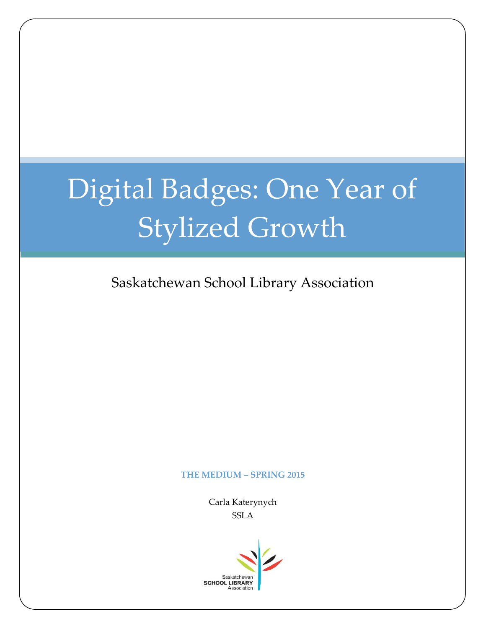# Digital Badges: One Year of Stylized Growth

Saskatchewan School Library Association

#### **THE MEDIUM – SPRING 2015**

Carla Katerynych **SSLA** 

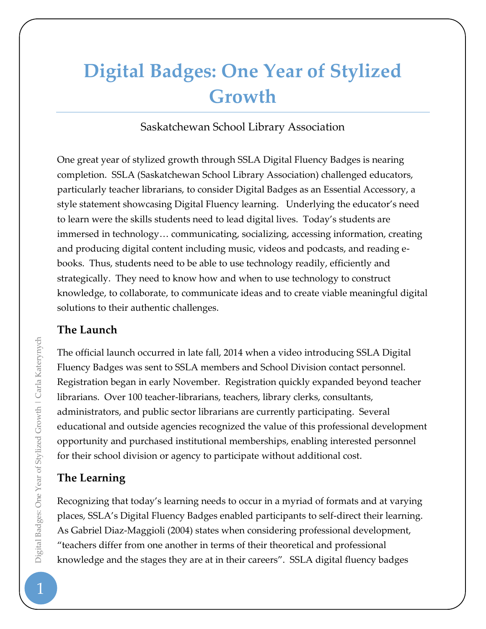## **Digital Badges: One Year of Stylized Growth**

#### Saskatchewan School Library Association

One great year of stylized growth through SSLA Digital Fluency Badges is nearing completion. SSLA (Saskatchewan School Library Association) challenged educators, particularly teacher librarians, to consider Digital Badges as an Essential Accessory, a style statement showcasing Digital Fluency learning. Underlying the educator's need to learn were the skills students need to lead digital lives. Today's students are immersed in technology… communicating, socializing, accessing information, creating and producing digital content including music, videos and podcasts, and reading ebooks. Thus, students need to be able to use technology readily, efficiently and strategically. They need to know how and when to use technology to construct knowledge, to collaborate, to communicate ideas and to create viable meaningful digital solutions to their authentic challenges.

#### **The Launch**

The official launch occurred in late fall, 2014 when a video introducing SSLA Digital Fluency Badges was sent to SSLA members and School Division contact personnel. Registration began in early November. Registration quickly expanded beyond teacher librarians. Over 100 teacher-librarians, teachers, library clerks, consultants, administrators, and public sector librarians are currently participating. Several educational and outside agencies recognized the value of this professional development opportunity and purchased institutional memberships, enabling interested personnel for their school division or agency to participate without additional cost.

### **The Learning**

Recognizing that today's learning needs to occur in a myriad of formats and at varying places, SSLA's Digital Fluency Badges enabled participants to self-direct their learning. As Gabriel Diaz-Maggioli (2004) states when considering professional development, "teachers differ from one another in terms of their theoretical and professional knowledge and the stages they are at in their careers". SSLA digital fluency badges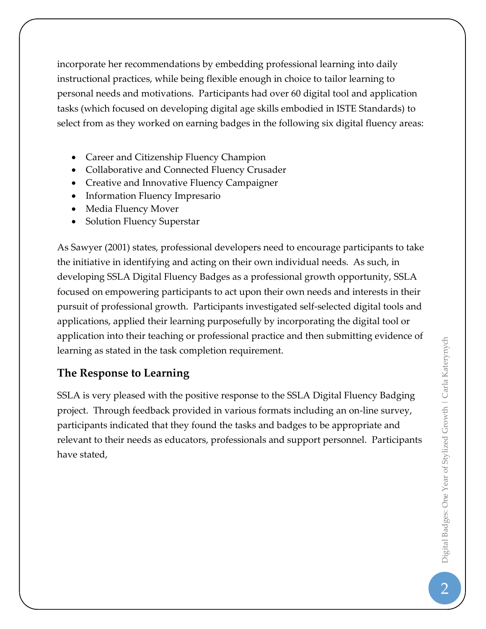incorporate her recommendations by embedding professional learning into daily instructional practices, while being flexible enough in choice to tailor learning to personal needs and motivations. Participants had over 60 digital tool and application tasks (which focused on developing digital age skills embodied in ISTE Standards) to select from as they worked on earning badges in the following six digital fluency areas:

- Career and Citizenship Fluency Champion
- Collaborative and Connected Fluency Crusader
- Creative and Innovative Fluency Campaigner
- Information Fluency Impresario
- Media Fluency Mover
- Solution Fluency Superstar

As Sawyer (2001) states, professional developers need to encourage participants to take the initiative in identifying and acting on their own individual needs. As such, in developing SSLA Digital Fluency Badges as a professional growth opportunity, SSLA focused on empowering participants to act upon their own needs and interests in their pursuit of professional growth. Participants investigated self-selected digital tools and applications, applied their learning purposefully by incorporating the digital tool or application into their teaching or professional practice and then submitting evidence of learning as stated in the task completion requirement.

#### **The Response to Learning**

SSLA is very pleased with the positive response to the SSLA Digital Fluency Badging project. Through feedback provided in various formats including an on-line survey, participants indicated that they found the tasks and badges to be appropriate and relevant to their needs as educators, professionals and support personnel. Participants have stated,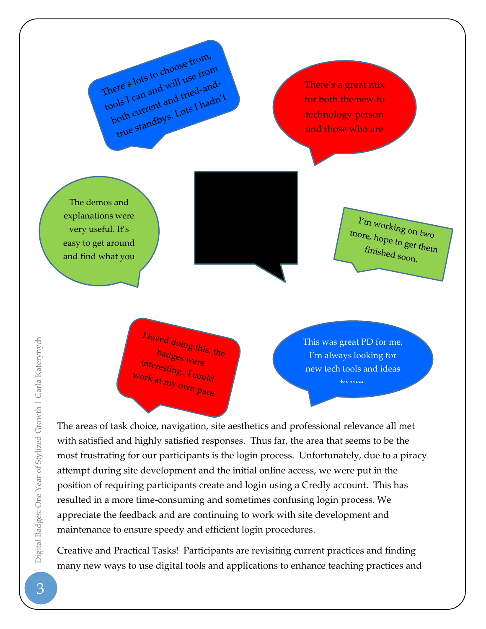There's lots to choose from, There's lots to choose from here's lots to create the true<br>cools I can and will use tried-<br>poth current and tried-and-<br>both current and tried-andere can and we tried-after<br>ols I can and tried-after<br>poth current and Lots I hadn't

There's a great mix for both the new to technology person and those who are

very comfortable with it.

The demos and explanations were very useful. It's easy to get around and find what you

 $I'm$  working on two more, hope to get them  $f_{\text{inished}}$  soon.

 $I$  loved doing this, the  $\frac{b_{\rm{adges}}}{b_{\rm{res}}}}$   $\frac{b_{\rm{deg}}}{b_{\rm{res}}}}$ interesting. I could<br>ork at my out work at my own pace.

This was great PD for me, I'm always looking for new tech tools and ideas

The areas of task choice, navigation, site aesthetics and professional relevance all met with satisfied and highly satisfied responses. Thus far, the area that seems to be the most frustrating for our participants is the login process. Unfortunately, due to a piracy attempt during site development and the initial online access, we were put in the position of requiring participants create and login using a Credly account. This has resulted in a more time-consuming and sometimes confusing login process. We appreciate the feedback and are continuing to work with site development and maintenance to ensure speedy and efficient login procedures.

Creative and Practical Tasks! Participants are revisiting current practices and finding many new ways to use digital tools and applications to enhance teaching practices and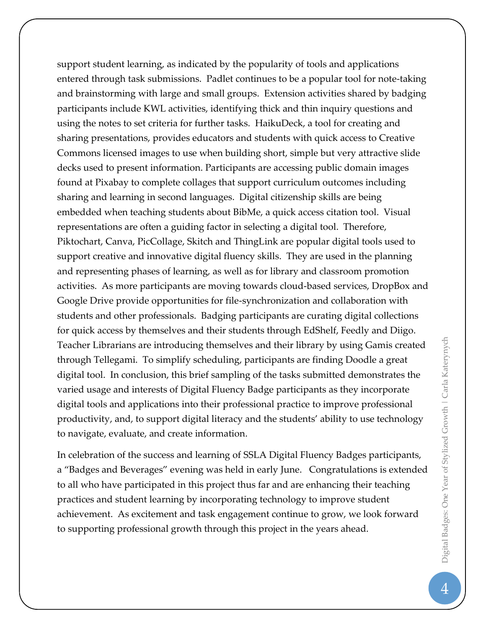support student learning, as indicated by the popularity of tools and applications entered through task submissions. Padlet continues to be a popular tool for note-taking and brainstorming with large and small groups. Extension activities shared by badging participants include KWL activities, identifying thick and thin inquiry questions and using the notes to set criteria for further tasks. HaikuDeck, a tool for creating and sharing presentations, provides educators and students with quick access to Creative Commons licensed images to use when building short, simple but very attractive slide decks used to present information. Participants are accessing public domain images found at Pixabay to complete collages that support curriculum outcomes including sharing and learning in second languages. Digital citizenship skills are being embedded when teaching students about BibMe, a quick access citation tool. Visual representations are often a guiding factor in selecting a digital tool. Therefore, Piktochart, Canva, PicCollage, Skitch and ThingLink are popular digital tools used to support creative and innovative digital fluency skills. They are used in the planning and representing phases of learning, as well as for library and classroom promotion activities. As more participants are moving towards cloud-based services, DropBox and Google Drive provide opportunities for file-synchronization and collaboration with students and other professionals. Badging participants are curating digital collections for quick access by themselves and their students through EdShelf, Feedly and Diigo. Teacher Librarians are introducing themselves and their library by using Gamis created through Tellegami. To simplify scheduling, participants are finding Doodle a great digital tool. In conclusion, this brief sampling of the tasks submitted demonstrates the varied usage and interests of Digital Fluency Badge participants as they incorporate digital tools and applications into their professional practice to improve professional productivity, and, to support digital literacy and the students' ability to use technology to navigate, evaluate, and create information.

In celebration of the success and learning of SSLA Digital Fluency Badges participants, a "Badges and Beverages" evening was held in early June. Congratulations is extended to all who have participated in this project thus far and are enhancing their teaching practices and student learning by incorporating technology to improve student achievement. As excitement and task engagement continue to grow, we look forward to supporting professional growth through this project in the years ahead.